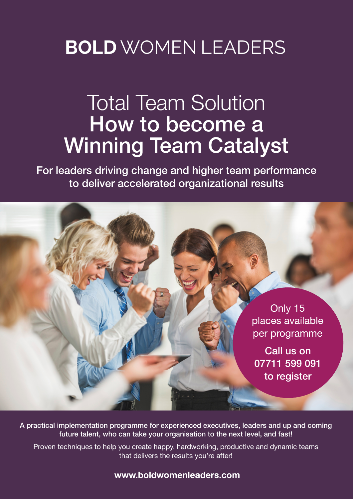# **BOLD** WOMEN LEADERS

# Total Team Solution How to become a Winning Team Catalyst

For leaders driving change and higher team performance to deliver accelerated organizational results



A practical implementation programme for experienced executives, leaders and up and coming future talent, who can take your organisation to the next level, and fast!

Proven techniques to help you create happy, hardworking, productive and dynamic teams that delivers the results you're after!

**www.boldwomenleaders.com**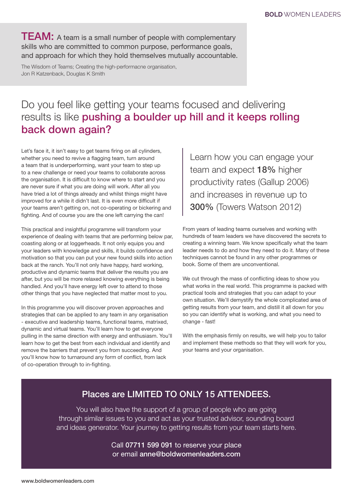TEAM: A team is a small number of people with complementary skills who are committed to common purpose, performance goals, and approach for which they hold themselves mutually accountable.

The Wisdom of Teams; Creating the high-performacne organisation, Jon R Katzenback, Douglas K Smith

# Do you feel like getting your teams focused and delivering results is like pushing a boulder up hill and it keeps rolling back down again?

Let's face it, it isn't easy to get teams firing on all cylinders, whether you need to revive a flagging team, turn around a team that is underperforming, want your team to step up to a new challenge or need your teams to collaborate across the organisation. It is difficult to know where to start and you are never sure if what you are doing will work. After all you have tried a lot of things already and whilst things might have improved for a while it didn't last. It is even more difficult if your teams aren't getting on, not co-operating or bickering and fighting. And of course you are the one left carrying the can!

This practical and insightful programme will transform your experience of dealing with teams that are performing below par, coasting along or at loggerheads. It not only equips you and your leaders with knowledge and skills, it builds confidence and motivation so that you can put your new found skills into action back at the ranch. You'll not only have happy, hard working, productive and dynamic teams that deliver the results you are after, but you will be more relaxed knowing everything is being handled. And you'll have energy left over to attend to those other things that you have neglected that matter most to you.

In this programme you will discover proven approaches and strategies that can be applied to any team in any organisation - executive and leadership teams, functional teams, matrixed, dynamic and virtual teams. You'll learn how to get everyone pulling in the same direction with energy and enthusiasm. You'll learn how to get the best from each individual and identify and remove the barriers that prevent you from succeeding. And you'll know how to turnaround any form of conflict, from lack of co-operation through to in-fighting.

Learn how you can engage your team and expect 18% higher productivity rates (Gallup 2006) and increases in revenue up to 300% (Towers Watson 2012)

From years of leading teams ourselves and working with hundreds of team leaders we have discovered the secrets to creating a winning team. We know specifically what the team leader needs to do and how they need to do it. Many of these techniques cannot be found in any other programmes or book. Some of them are unconventional.

We cut through the mass of conflicting ideas to show you what works in the real world. This programme is packed with practical tools and strategies that you can adapt to your own situation. We'll demystify the whole complicated area of getting results from your team, and distill it all down for you so you can identify what is working, and what you need to change - fast!

With the emphasis firmly on results, we will help you to tailor and implement these methods so that they will work for you, your teams and your organisation.

## Places are LIMITED TO ONLY 15 ATTENDEES.

You will also have the support of a group of people who are going through similar issues to you and act as your trusted advisor, sounding board and ideas generator. Your journey to getting results from your team starts here.

> Call 07711 599 091 to reserve your place or email anne@boldwomenleaders.com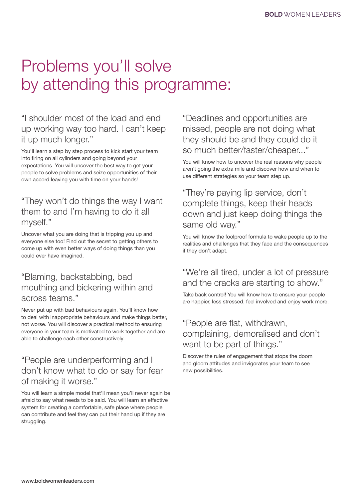# Problems you'll solve by attending this programme:

"I shoulder most of the load and end up working way too hard. I can't keep it up much longer."

You'll learn a step by step process to kick start your team into firing on all cylinders and going beyond your expectations. You will uncover the best way to get your people to solve problems and seize opportunities of their own accord leaving you with time on your hands!

## "They won't do things the way I want them to and I'm having to do it all myself."

Uncover what you are doing that is tripping you up and everyone else too! Find out the secret to getting others to come up with even better ways of doing things than you could ever have imagined.

## "Blaming, backstabbing, bad mouthing and bickering within and across teams."

Never put up with bad behaviours again. You'll know how to deal with inappropriate behaviours and make things better, not worse. You will discover a practical method to ensuring everyone in your team is motivated to work together and are able to challenge each other constructively.

## "People are underperforming and I don't know what to do or say for fear of making it worse."

You will learn a simple model that'll mean you'll never again be afraid to say what needs to be said. You will learn an effective system for creating a comfortable, safe place where people can contribute and feel they can put their hand up if they are struggling.

"Deadlines and opportunities are missed, people are not doing what they should be and they could do it so much better/faster/cheaper..."

You will know how to uncover the real reasons why people aren't going the extra mile and discover how and when to use different strategies so your team step up.

## "They're paying lip service, don't complete things, keep their heads down and just keep doing things the same old way."

You will know the foolproof formula to wake people up to the realities and challenges that they face and the consequences if they don't adapt.

## "We're all tired, under a lot of pressure and the cracks are starting to show."

Take back control! You will know how to ensure your people are happier, less stressed, feel involved and enjoy work more.

## "People are flat, withdrawn, complaining, demoralised and don't want to be part of things."

Discover the rules of engagement that stops the doom and gloom attitudes and invigorates your team to see new possibilities.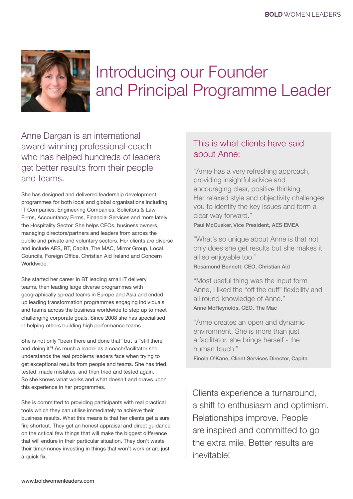

# Introducing our Founder and Principal Programme Leader

Anne Dargan is an international award-winning professional coach who has helped hundreds of leaders get better results from their people and teams.

She has designed and delivered leadership development programmes for both local and global organisations including IT Companies, Engineering Companies, Solicitors & Law Firms, Accountancy Firms, Financial Services and more lately the Hospitality Sector. She helps CEOs, business owners, managing directors/partners and leaders from across the public and private and voluntary sectors. Her clients are diverse and include AES, BT, Capita, The MAC, Mirror Group, Local Councils, Foreign Office, Christian Aid Ireland and Concern Worldwide.

She started her career in BT leading small IT delivery teams, then leading large diverse programmes with geographically spread teams in Europe and Asia and ended up leading transformation programmes engaging individuals and teams across the business worldwide to step up to meet challenging corporate goals. Since 2008 she has specialised in helping others building high performance teams

She is not only "been there and done that" but is "still there and doing it"! As much a leader as a coach/facilitator she understands the real problems leaders face when trying to get exceptional results from people and teams. She has tried, tested, made mistakes, and then tried and tested again. So she knows what works and what doesn't and draws upon this experience in her programmes.

She is committed to providing participants with real practical tools which they can utilise immediately to achieve their business results. What this means is that her clients get a sure fire shortcut. They get an honest appraisal and direct guidance on the critical few things that will make the biggest difference that will endure in their particular situation. They don't waste their time/money investing in things that won't work or are just a quick fix.

### This is what clients have said about Anne:

"Anne has a very refreshing approach, providing insightful advice and encouraging clear, positive thinking. Her relaxed style and objectivity challenges you to identify the key issues and form a clear way forward."

Paul McCusker, Vice President, AES EMEA

"What's so unique about Anne is that not only does she get results but she makes it all so enjoyable too."

Rosamond Bennett, CEO, Christian Aid

"Most useful thing was the input form Anne, I liked the "off the cuff" flexibility and all round knowledge of Anne." Anne McReynolds, CEO, The Mac

"Anne creates an open and dynamic environment. She is more than just a facilitator, she brings herself - the human touch."

Finola O'Kane, Client Services Director, Capita

Clients experience a turnaround, a shift to enthusiasm and optimism. Relationships improve. People are inspired and committed to go the extra mile. Better results are inevitable!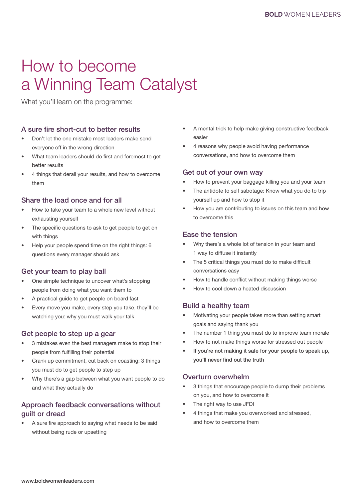# How to become a Winning Team Catalyst

What you'll learn on the programme:

### A sure fire short-cut to better results

- Don't let the one mistake most leaders make send everyone off in the wrong direction
- What team leaders should do first and foremost to get better results
- 4 things that derail your results, and how to overcome them

### Share the load once and for all

- How to take your team to a whole new level without exhausting yourself
- The specific questions to ask to get people to get on with things
- Help your people spend time on the right things: 6 questions every manager should ask

### Get your team to play ball

- One simple technique to uncover what's stopping people from doing what you want them to
- A practical guide to get people on board fast
- Every move you make, every step you take, they'll be watching you: why you must walk your talk

#### Get people to step up a gear

- 3 mistakes even the best managers make to stop their people from fulfilling their potential
- Crank up commitment, cut back on coasting: 3 things you must do to get people to step up
- Why there's a gap between what you want people to do and what they actually do

### Approach feedback conversations without guilt or dread

A sure fire approach to saying what needs to be said without being rude or upsetting

- A mental trick to help make giving constructive feedback easier
- 4 reasons why people avoid having performance conversations, and how to overcome them

#### Get out of your own way

- How to prevent your baggage killing you and your team
- The antidote to self sabotage: Know what you do to trip yourself up and how to stop it
- How you are contributing to issues on this team and how to overcome this

### Ease the tension

- Why there's a whole lot of tension in your team and 1 way to diffuse it instantly
- The 5 critical things you must do to make difficult conversations easy
- How to handle conflict without making things worse
- How to cool down a heated discussion

### Build a healthy team

- Motivating your people takes more than setting smart goals and saying thank you
- The number 1 thing you must do to improve team morale
- How to not make things worse for stressed out people
- If you're not making it safe for your people to speak up, you'll never find out the truth

#### Overturn overwhelm

- 3 things that encourage people to dump their problems on you, and how to overcome it
- The right way to use JFDI
- 4 things that make you overworked and stressed, and how to overcome them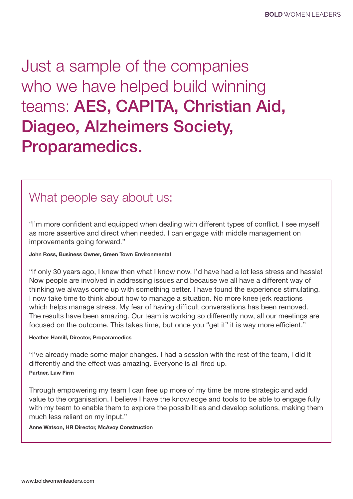Just a sample of the companies who we have helped build winning teams: AES, CAPITA, Christian Aid, Diageo, Alzheimers Society, Proparamedics.

# What people say about us:

"I'm more confident and equipped when dealing with different types of conflict. I see myself as more assertive and direct when needed. I can engage with middle management on improvements going forward."

John Ross, Business Owner, Green Town Environmental

"If only 30 years ago, I knew then what I know now, I'd have had a lot less stress and hassle! Now people are involved in addressing issues and because we all have a different way of thinking we always come up with something better. I have found the experience stimulating. I now take time to think about how to manage a situation. No more knee jerk reactions which helps manage stress. My fear of having difficult conversations has been removed. The results have been amazing. Our team is working so differently now, all our meetings are focused on the outcome. This takes time, but once you "get it" it is way more efficient."

#### Heather Hamill, Director, Proparamedics

"I've already made some major changes. I had a session with the rest of the team, I did it differently and the effect was amazing. Everyone is all fired up. Partner, Law Firm

Through empowering my team I can free up more of my time be more strategic and add value to the organisation. I believe I have the knowledge and tools to be able to engage fully with my team to enable them to explore the possibilities and develop solutions, making them much less reliant on my input."

Anne Watson, HR Director, McAvoy Construction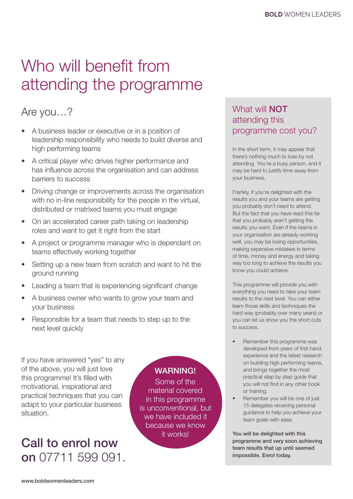# Who will benefit from attending the programme

# Are you…?

- A business leader or executive or in a position of leadership responsibility who needs to build diverse and high performing teams
- A critical player who drives higher performance and has influence across the organisation and can address barriers to success
- Driving change or improvements across the organisation with no in-line responsibility for the people in the virtual. distributed or matrixed teams you must engage
- On an accelerated career path taking on leadership roles and want to get it right from the start
- A project or programme manager who is dependant on teams effectively working together
- Setting up a new team from scratch and want to hit the ground running
- Leading a team that is experiencing significant change
- A business owner who wants to grow your team and your business
- Responsible for a team that needs to step up to the next level quickly

If you have answered "yes" to any of the above, you will just love this programme! It's filled with motivational, inspirational and practical techniques that you can adapt to your particular business situation.

# Call to enrol now on 07711 599 091.

### WARNING!

Some of the material covered in this programme is unconventional, but we have included it because we know it works!

# What will **NOT** attending this programme cost you?

In the short term, it may appear that there's nothing much to lose by not attending. You're a busy person, and it may be hard to justify time away from your business.

Frankly, if you're delighted with the results you and your teams are getting you probably don't need to attend. But the fact that you have read this far that you probably aren't getting the results you want. Even if the teams in your organisation are already working well, you may be losing opportunities, making expensive mistakes in terms of time, money and energy and taking way too long to achieve the results you know you could achieve.

This programme will provide you with everything you need to take your team results to the next level. You can either learn those skills and techniques the hard way (probably over many years) or you can let us show you the short cuts to success.

- Remember this programme was developed from years of first hand experience and the latest research on building high performing teams, and brings together the most practical step by step guide that you will not find in any other book or training.
- Remember you will be one of just 15 delegates receiving personal guidance to help you achieve your team goals with ease.

You will be delighted with this programme and very soon achieving team results that up until seemed impossible. Enrol today.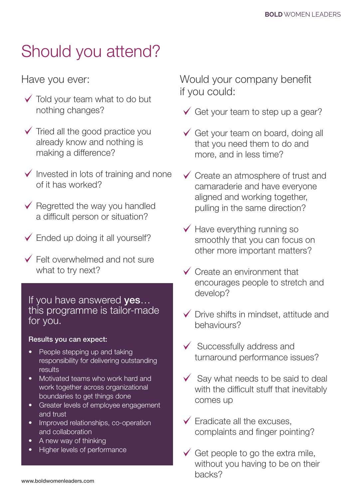# Should you attend?

Have you ever:

- $\checkmark$  Told your team what to do but nothing changes?
- $\checkmark$  Tried all the good practice you already know and nothing is making a difference?
- $\checkmark$  Invested in lots of training and none of it has worked?
- $\checkmark$  Regretted the way you handled a difficult person or situation?
- $\checkmark$  Ended up doing it all yourself?
- $\checkmark$  Felt overwhelmed and not sure what to try next?

## If you have answered yes... this programme is tailor-made for you.

### Results you can expect:

- People stepping up and taking responsibility for delivering outstanding results
- Motivated teams who work hard and work together across organizational boundaries to get things done
- Greater levels of employee engagement and trust
- Improved relationships, co-operation and collaboration
- A new way of thinking
- Higher levels of performance

Would your company benefit if you could:

- $\checkmark$  Get your team to step up a gear?
- $\checkmark$  Get your team on board, doing all that you need them to do and more, and in less time?
- $\checkmark$  Create an atmosphere of trust and camaraderie and have everyone aligned and working together, pulling in the same direction?
- $\checkmark$  Have everything running so smoothly that you can focus on other more important matters?
- $\checkmark$  Create an environment that encourages people to stretch and develop?
- $\checkmark$  Drive shifts in mindset, attitude and behaviours?
- $\checkmark$  Successfully address and turnaround performance issues?
- $\checkmark$  Say what needs to be said to deal with the difficult stuff that inevitably comes up
- $\checkmark$  Eradicate all the excuses, complaints and finger pointing?
- $\checkmark$  Get people to go the extra mile, without you having to be on their backs?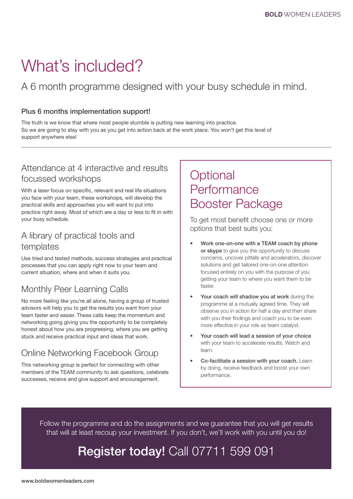# What's included?

A 6 month programme designed with your busy schedule in mind.

#### Plus 6 months implementation support!

The truth is we know that where most people stumble is putting new learning into practice. So we are going to stay with you as you get into action back at the work place. You won't get this level of support anywhere else!

## Attendance at 4 interactive and results focussed workshops

With a laser focus on specific, relevant and real life situations you face with your team, these workshops, will develop the practical skills and approaches you will want to put into practice right away. Most of which are a day or less to fit in with your busy schedule.

## A library of practical tools and templates

Use tried and tested methods, success strategies and practical processes that you can apply right now to your team and current situation, where and when it suits you.

# Monthly Peer Learning Calls

No more feeling like you're all alone, having a group of trusted advisors will help you to get the results you want from your team faster and easier. These calls keep the momentum and networking going giving you the opportunity to be completely honest about how you are progressing, where you are getting stuck and receive practical input and ideas that work.

# Online Networking Facebook Group

This networking group is perfect for connecting with other members of the TEAM community to ask questions, celebrate successes, receive and give support and encouragement.

# **Optional Performance** Booster Package

To get most benefit choose one or more options that best suits you:

- Work one-on-one with a TEAM coach by phone or skype to give you the opportunity to discuss concerns, uncover pitfalls and accelerators, discover solutions and get tailored one-on-one attention focused entirely on you with the purpose of you getting your team to where you want them to be faster.
- Your coach will shadow you at work during the programme at a mutually agreed time. They will observe you in action for half a day and then share with you their findings and coach you to be even more effective in your role as team catalyst.
- Your coach will lead a session of your choice with your team to accelerate results. Watch and learn.
- Co-facilitate a session with your coach. Learn by doing, receive feedback and boost your own performance.

Follow the programme and do the assignments and we guarantee that you will get results that will at least recoup your investment. If you don't, we'll work with you until you do!

# Register today! Call 07711 599 091